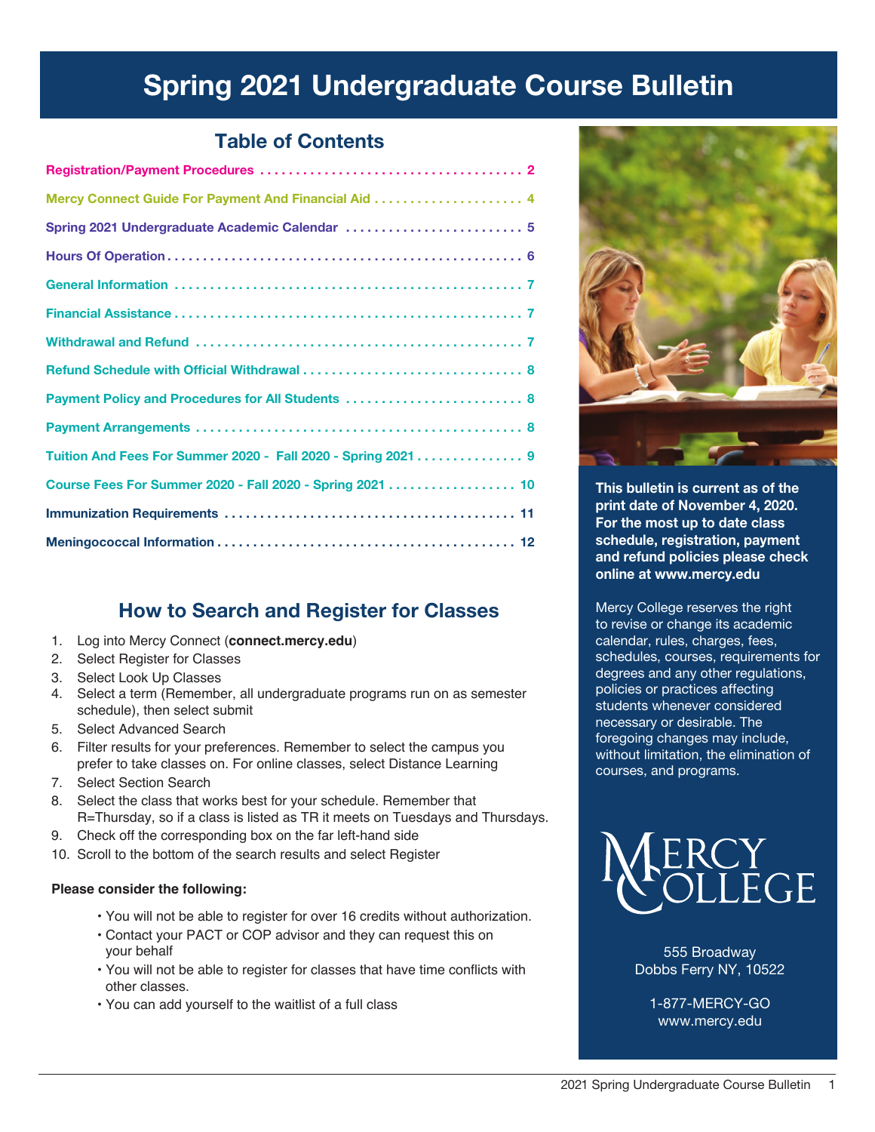# Spring 2021 Undergraduate Course Bulletin

## Table of Contents

| Spring 2021 Undergraduate Academic Calendar  5               |
|--------------------------------------------------------------|
|                                                              |
|                                                              |
|                                                              |
|                                                              |
|                                                              |
| Payment Policy and Procedures for All Students  8            |
|                                                              |
| Tuition And Fees For Summer 2020 - Fall 2020 - Spring 2021 9 |
| Course Fees For Summer 2020 - Fall 2020 - Spring 2021  10    |
|                                                              |
|                                                              |

## How to Search and Register for Classes

- 1. Log into Mercy Connect (**connect.mercy.edu**)
- 2. Select Register for Classes
- 3. Select Look Up Classes
- 4. Select a term (Remember, all undergraduate programs run on as semester schedule), then select submit
- 5. Select Advanced Search
- 6. Filter results for your preferences. Remember to select the campus you prefer to take classes on. For online classes, select Distance Learning
- 7. Select Section Search
- 8. Select the class that works best for your schedule. Remember that R=Thursday, so if a class is listed as TR it meets on Tuesdays and Thursdays.
- 9. Check off the corresponding box on the far left-hand side
- 10. Scroll to the bottom of the search results and select Register

### **Please consider the following:**

- You will not be able to register for over 16 credits without authorization.
- Contact your PACT or COP advisor and they can request this on your behalf
- You will not be able to register for classes that have time conflicts with other classes.
- You can add yourself to the waitlist of a full class



This bulletin is current as of the print date of November 4, 2020. For the most up to date class schedule, registration, payment and refund policies please check online at www.mercy.edu

Mercy College reserves the right to revise or change its academic calendar, rules, charges, fees, schedules, courses, requirements for degrees and any other regulations, policies or practices affecting students whenever considered necessary or desirable. The foregoing changes may include, without limitation, the elimination of courses, and programs.



555 Broadway Dobbs Ferry NY, 10522

1-877-MERCY-GO www.mercy.edu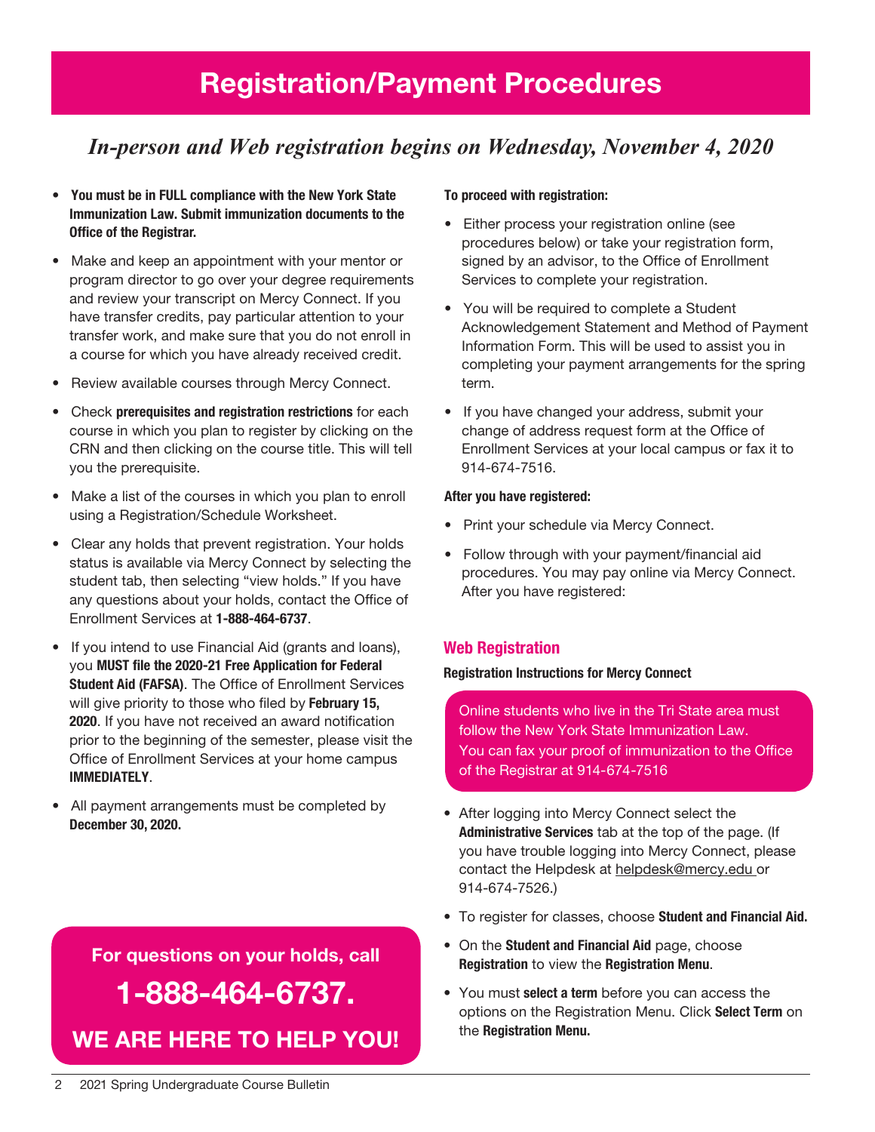# Registration/Payment Procedures

## *In-person and Web registration begins on Wednesday, November 4, 2020*

- You must be in FULL compliance with the New York State Immunization Law. Submit immunization documents to the Office of the Registrar.
- Make and keep an appointment with your mentor or program director to go over your degree requirements and review your transcript on Mercy Connect. If you have transfer credits, pay particular attention to your transfer work, and make sure that you do not enroll in a course for which you have already received credit.
- Review available courses through Mercy Connect.
- Check prerequisites and registration restrictions for each course in which you plan to register by clicking on the CRN and then clicking on the course title. This will tell you the prerequisite.
- Make a list of the courses in which you plan to enroll using a Registration/Schedule Worksheet.
- Clear any holds that prevent registration. Your holds status is available via Mercy Connect by selecting the student tab, then selecting "view holds." If you have any questions about your holds, contact the Office of Enrollment Services at 1-888-464-6737.
- If you intend to use Financial Aid (grants and loans), you MUST file the 2020-21 Free Application for Federal Student Aid (FAFSA). The Office of Enrollment Services will give priority to those who filed by February 15, 2020. If you have not received an award notification prior to the beginning of the semester, please visit the Office of Enrollment Services at your home campus IMMEDIATELY.
- All payment arrangements must be completed by December 30, 2020.

# For questions on your holds, call 1-888-464-6737. We are here to help You!

### To proceed with registration:

- Either process your registration online (see procedures below) or take your registration form, signed by an advisor, to the Office of Enrollment Services to complete your registration.
- You will be required to complete a Student Acknowledgement Statement and Method of Payment Information Form. This will be used to assist you in completing your payment arrangements for the spring term.
- If you have changed your address, submit your change of address request form at the Office of Enrollment Services at your local campus or fax it to 914-674-7516.

#### After you have registered:

- Print your schedule via Mercy Connect.
- Follow through with your payment/financial aid procedures. You may pay online via Mercy Connect. After you have registered:

### Web Registration

#### Registration Instructions for Mercy Connect

Online students who live in the Tri State area must follow the New York State Immunization Law. You can fax your proof of immunization to the Office of the Registrar at 914-674-7516

- After logging into Mercy Connect select the Administrative Services tab at the top of the page. (If you have trouble logging into Mercy Connect, please contact the Helpdesk at helpdesk@mercy.edu or 914-674-7526.)
- To register for classes, choose Student and Financial Aid.
- On the Student and Financial Aid page, choose Registration to view the Registration Menu.
- You must select a term before you can access the options on the Registration Menu. Click Select Term on the Registration Menu.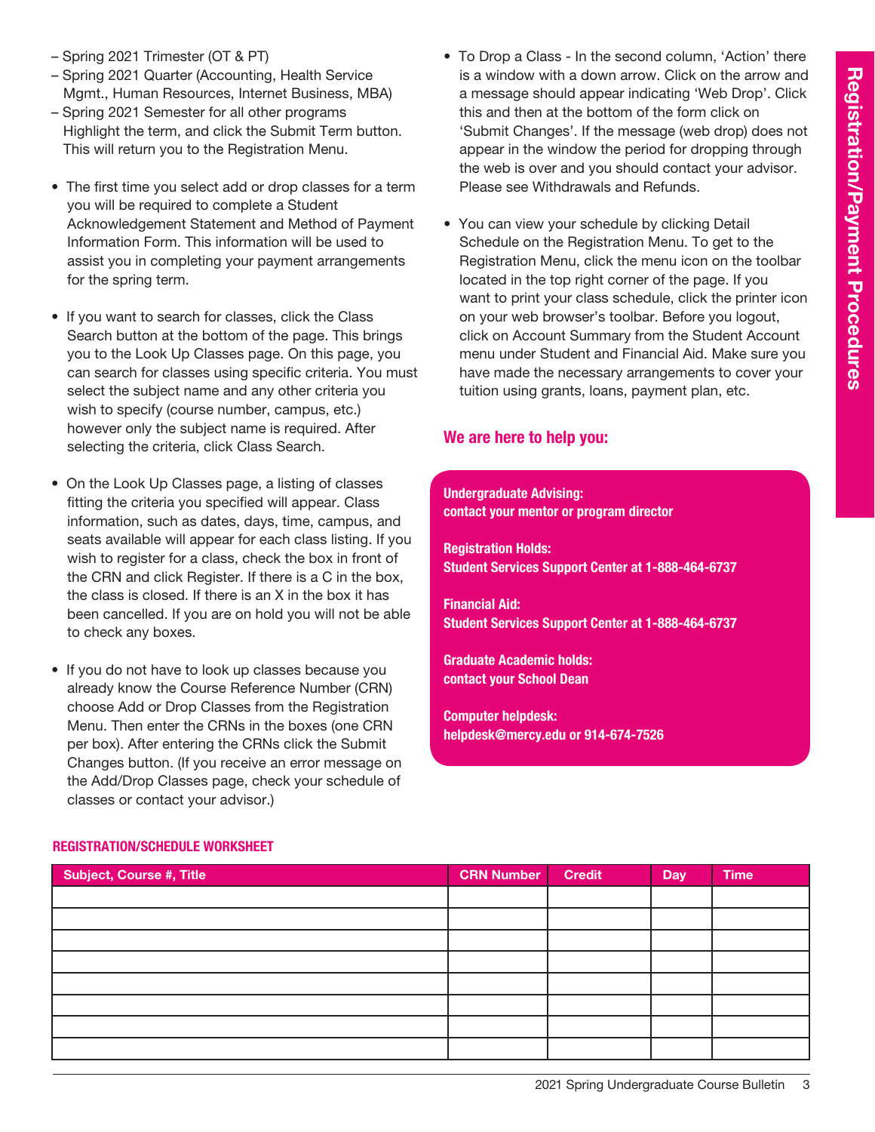- Spring 2021 Trimester (OT & PT)
- Spring 2021 Quarter (Accounting, Health Service Mgmt., Human Resources, Internet Business, MBA)
- Spring 2021 Semester for all other programs Highlight the term, and click the Submit Term button. This will return you to the Registration Menu.
- The first time you select add or drop classes for a term you will be required to complete a Student Acknowledgement Statement and Method of Payment Information Form. This information will be used to assist you in completing your payment arrangements for the spring term.
- If you want to search for classes, click the Class Search button at the bottom of the page. This brings you to the Look Up Classes page. On this page, you can search for classes using specific criteria. You must select the subject name and any other criteria you wish to specify (course number, campus, etc.) however only the subject name is required. After selecting the criteria, click Class Search.
- On the Look Up Classes page, a listing of classes fitting the criteria you specified will appear. Class information, such as dates, days, time, campus, and seats available will appear for each class listing. If you wish to register for a class, check the box in front of the CRN and click Register. If there is a C in the box, the class is closed. If there is an X in the box it has been cancelled. If you are on hold you will not be able to check any boxes.
- If you do not have to look up classes because you already know the Course Reference Number (CRN) choose Add or Drop Classes from the Registration Menu. Then enter the CRNs in the boxes (one CRN per box). After entering the CRNs click the Submit Changes button. (If you receive an error message on the Add/Drop Classes page, check your schedule of classes or contact your advisor.)
- To Drop a Class In the second column, 'Action' there is a window with a down arrow. Click on the arrow and a message should appear indicating 'Web Drop'. Click this and then at the bottom of the form click on 'Submit Changes'. If the message (web drop) does not appear in the window the period for dropping through the web is over and you should contact your advisor. Please see Withdrawals and Refunds.
- You can view your schedule by clicking Detail Schedule on the Registration Menu. To get to the Registration Menu, click the menu icon on the toolbar located in the top right corner of the page. If you want to print your class schedule, click the printer icon on your web browser's toolbar. Before you logout, click on Account Summary from the Student Account menu under Student and Financial Aid. Make sure you have made the necessary arrangements to cover your tuition using grants, loans, payment plan, etc.

## We are here to help you:

#### Undergraduate Advising: contact your mentor or program director

Registration Holds: Student Services Support Center at 1-888-464-6737

Financial Aid: Student Services Support Center at 1-888-464-6737

Graduate Academic holds: contact your School Dean

Computer helpdesk: helpdesk@mercy.edu or 914-674-7526

| <b>Subject, Course #, Title</b> | <b>CRN Number</b> | <b>Credit</b> | Day | <b>Time</b> |
|---------------------------------|-------------------|---------------|-----|-------------|
|                                 |                   |               |     |             |
|                                 |                   |               |     |             |
|                                 |                   |               |     |             |
|                                 |                   |               |     |             |
|                                 |                   |               |     |             |
|                                 |                   |               |     |             |
|                                 |                   |               |     |             |
|                                 |                   |               |     |             |

### Registration/Schedule Worksheet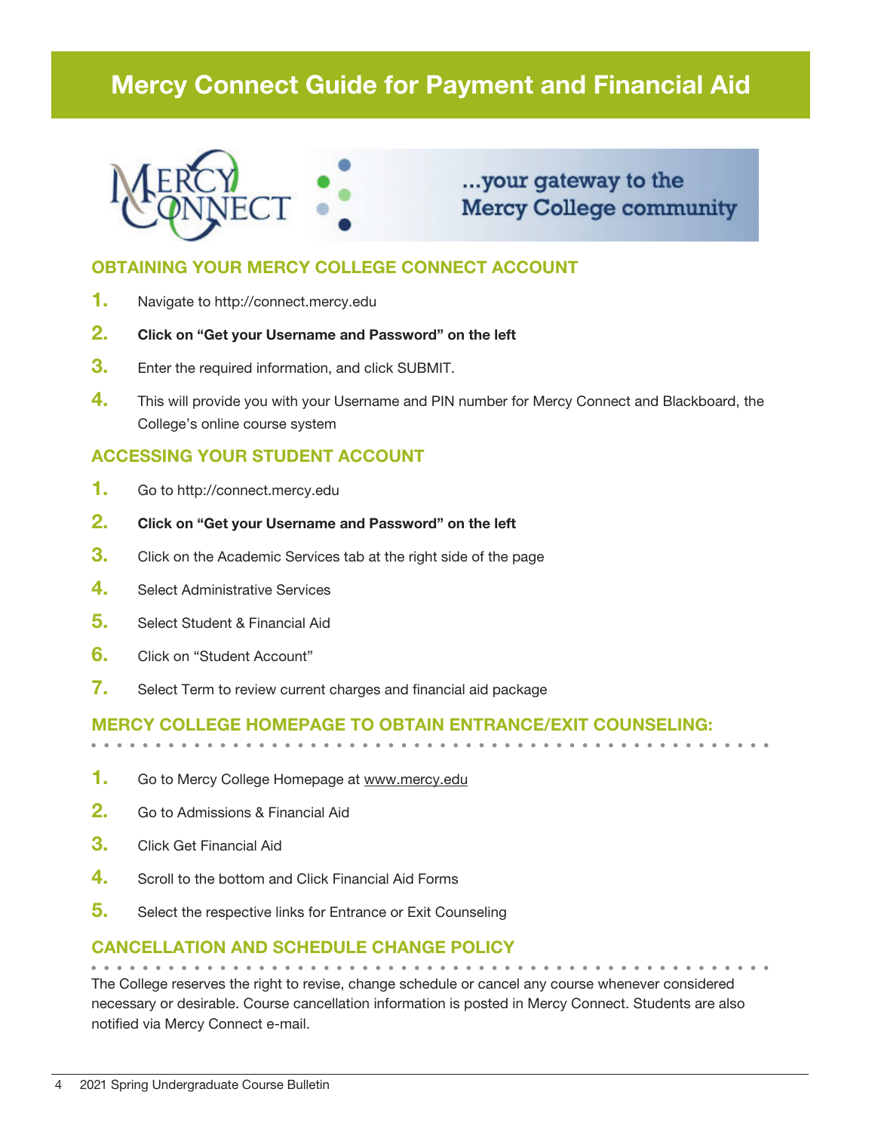# Mercy Connect Guide for Payment and Financial Aid



## ...your gateway to the **Mercy College community**

## OBTAINING YOUR MERCY COLLEGE CONNECT ACCOUNT

- 1. Navigate to http://connect.mercy.edu
- 2. Click on "Get your Username and Password" on the left
- **3.** Enter the required information, and click SUBMIT.
- 4. This will provide you with your Username and PIN number for Mercy Connect and Blackboard, the College's online course system

## ACCESSING YOUR STUDENT ACCOUNT

- 1. Go to http://connect.mercy.edu
- 2. Click on "Get your Username and Password" on the left
- **3.** Click on the Academic Services tab at the right side of the page
- 4. Select Administrative Services
- 5. Select Student & Financial Aid
- 6. Click on "Student Account"
- 7. Select Term to review current charges and financial aid package

## Mercy College homepage to obtain entrance/exit counseling:

- 1. Go to Mercy College Homepage at www.mercy.edu
- 2. Go to Admissions & Financial Aid
- 3. Click Get Financial Aid
- 4. Scroll to the bottom and Click Financial Aid Forms
- **5.** Select the respective links for Entrance or Exit Counseling

### Cancellation and Schedule Change Policy

The College reserves the right to revise, change schedule or cancel any course whenever considered necessary or desirable. Course cancellation information is posted in Mercy Connect. Students are also notified via Mercy Connect e-mail.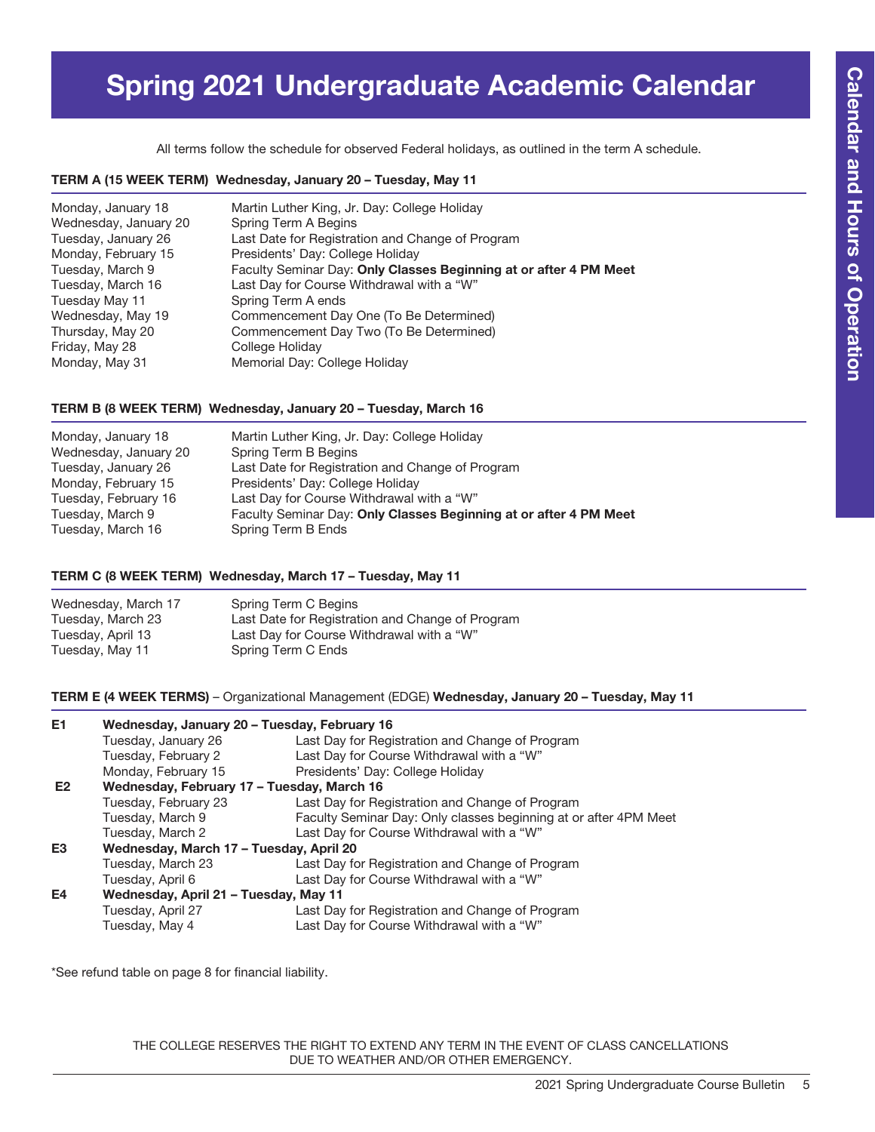# Spring 2021 Undergraduate Academic Calendar

All terms follow the schedule for observed Federal holidays, as outlined in the term A schedule.

#### TERM A (15 WEEK TERM) Wednesday, January 20 – Tuesday, May 11

| Monday, January 18    | Martin Luther King, Jr. Day: College Holiday                      |
|-----------------------|-------------------------------------------------------------------|
| Wednesday, January 20 | Spring Term A Begins                                              |
| Tuesday, January 26   | Last Date for Registration and Change of Program                  |
| Monday, February 15   | Presidents' Day: College Holiday                                  |
| Tuesday, March 9      | Faculty Seminar Day: Only Classes Beginning at or after 4 PM Meet |
| Tuesday, March 16     | Last Day for Course Withdrawal with a "W"                         |
| Tuesday May 11        | Spring Term A ends                                                |
| Wednesday, May 19     | Commencement Day One (To Be Determined)                           |
| Thursday, May 20      | Commencement Day Two (To Be Determined)                           |
| Friday, May 28        | College Holiday                                                   |
| Monday, May 31        | Memorial Day: College Holiday                                     |

#### TERM B (8 WEEK TERM) Wednesday, January 20 – Tuesday, March 16

| Monday, January 18    | Martin Luther King, Jr. Day: College Holiday                      |
|-----------------------|-------------------------------------------------------------------|
| Wednesday, January 20 | Spring Term B Begins                                              |
| Tuesday, January 26   | Last Date for Registration and Change of Program                  |
| Monday, February 15   | Presidents' Day: College Holiday                                  |
| Tuesday, February 16  | Last Day for Course Withdrawal with a "W"                         |
| Tuesday, March 9      | Faculty Seminar Day: Only Classes Beginning at or after 4 PM Meet |
| Tuesday, March 16     | Spring Term B Ends                                                |
|                       |                                                                   |

#### TERM C (8 WEEK TERM) Wednesday, March 17 – Tuesday, May 11

| Wednesday, March 17 | Spring Term C Begins                             |
|---------------------|--------------------------------------------------|
| Tuesday, March 23   | Last Date for Registration and Change of Program |
| Tuesday, April 13   | Last Day for Course Withdrawal with a "W"        |
| Tuesday, May 11     | Spring Term C Ends                               |

TERM E (4 WEEK TERMS) – Organizational Management (EDGE) Wednesday, January 20 – Tuesday, May 11

| E1 | Wednesday, January 20 - Tuesday, February 16 |                                                                  |
|----|----------------------------------------------|------------------------------------------------------------------|
|    | Tuesday, January 26                          | Last Day for Registration and Change of Program                  |
|    | Tuesday, February 2                          | Last Day for Course Withdrawal with a "W"                        |
|    | Monday, February 15                          | Presidents' Day: College Holiday                                 |
| E2 | Wednesday, February 17 - Tuesday, March 16   |                                                                  |
|    | Tuesday, February 23                         | Last Day for Registration and Change of Program                  |
|    | Tuesday, March 9                             | Faculty Seminar Day: Only classes beginning at or after 4PM Meet |
|    | Tuesday, March 2                             | Last Day for Course Withdrawal with a "W"                        |
| E3 | Wednesday, March 17 - Tuesday, April 20      |                                                                  |
|    | Tuesday, March 23                            | Last Day for Registration and Change of Program                  |
|    | Tuesday, April 6                             | Last Day for Course Withdrawal with a "W"                        |
| E4 | Wednesday, April 21 - Tuesday, May 11        |                                                                  |
|    | Tuesday, April 27                            | Last Day for Registration and Change of Program                  |
|    | Tuesday, May 4                               | Last Day for Course Withdrawal with a "W"                        |

\*See refund table on page 8 for financial liability.

THE COLLEGE RESERVES THE RIGHT TO EXTEND ANY TERM IN THE EVENT OF CLASS CANCELLATIONS DUE TO WEATHER AND/OR OTHER EMERGENCY.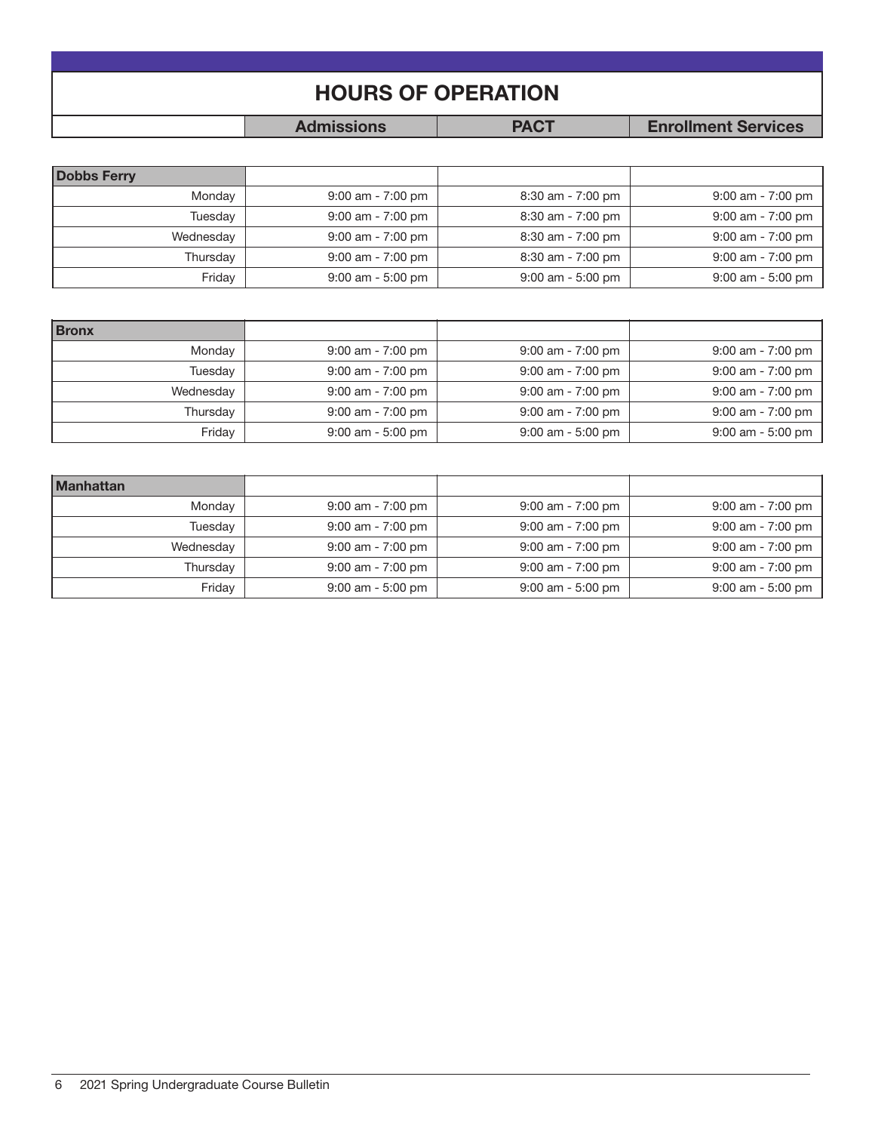| <b>HOURS OF OPERATION</b>                                      |  |  |  |  |  |  |
|----------------------------------------------------------------|--|--|--|--|--|--|
| <b>PACT</b><br><b>Admissions</b><br><b>Enrollment Services</b> |  |  |  |  |  |  |

| <b>Dobbs Ferry</b> |                     |                     |                     |
|--------------------|---------------------|---------------------|---------------------|
| Monday             | $9:00$ am - 7:00 pm | $8:30$ am - 7:00 pm | $9:00$ am - 7:00 pm |
| Tuesday            | $9:00$ am - 7:00 pm | $8:30$ am - 7:00 pm | 9:00 am - 7:00 pm   |
| Wednesday          | $9:00$ am - 7:00 pm | $8:30$ am - 7:00 pm | $9:00$ am - 7:00 pm |
| Thursday           | $9:00$ am - 7:00 pm | $8:30$ am - 7:00 pm | $9:00$ am - 7:00 pm |
| Friday             | $9:00$ am - 5:00 pm | $9:00$ am - 5:00 pm | $9:00$ am - 5:00 pm |

| <b>Bronx</b> |                     |                     |                     |
|--------------|---------------------|---------------------|---------------------|
| Monday       | $9:00$ am - 7:00 pm | $9:00$ am - 7:00 pm | $9:00$ am - 7:00 pm |
| Tuesday      | $9:00$ am - 7:00 pm | $9:00$ am - 7:00 pm | $9:00$ am - 7:00 pm |
| Wednesday    | $9:00$ am - 7:00 pm | $9:00$ am - 7:00 pm | $9:00$ am - 7:00 pm |
| Thursday     | $9:00$ am - 7:00 pm | $9:00$ am - 7:00 pm | $9:00$ am - 7:00 pm |
| Friday       | $9:00$ am - 5:00 pm | $9:00$ am - 5:00 pm | $9:00$ am - 5:00 pm |

| <b>Manhattan</b> |                     |                     |                     |
|------------------|---------------------|---------------------|---------------------|
| Monday           | $9:00$ am - 7:00 pm | $9:00$ am - 7:00 pm | $9:00$ am - 7:00 pm |
| Tuesday          | $9:00$ am - 7:00 pm | $9:00$ am - 7:00 pm | $9:00$ am - 7:00 pm |
| Wednesday        | $9:00$ am - 7:00 pm | $9:00$ am - 7:00 pm | $9:00$ am - 7:00 pm |
| Thursday         | $9:00$ am - 7:00 pm | $9:00$ am - 7:00 pm | $9:00$ am - 7:00 pm |
| Friday           | $9:00$ am - 5:00 pm | $9:00$ am - 5:00 pm | $9:00$ am - 5:00 pm |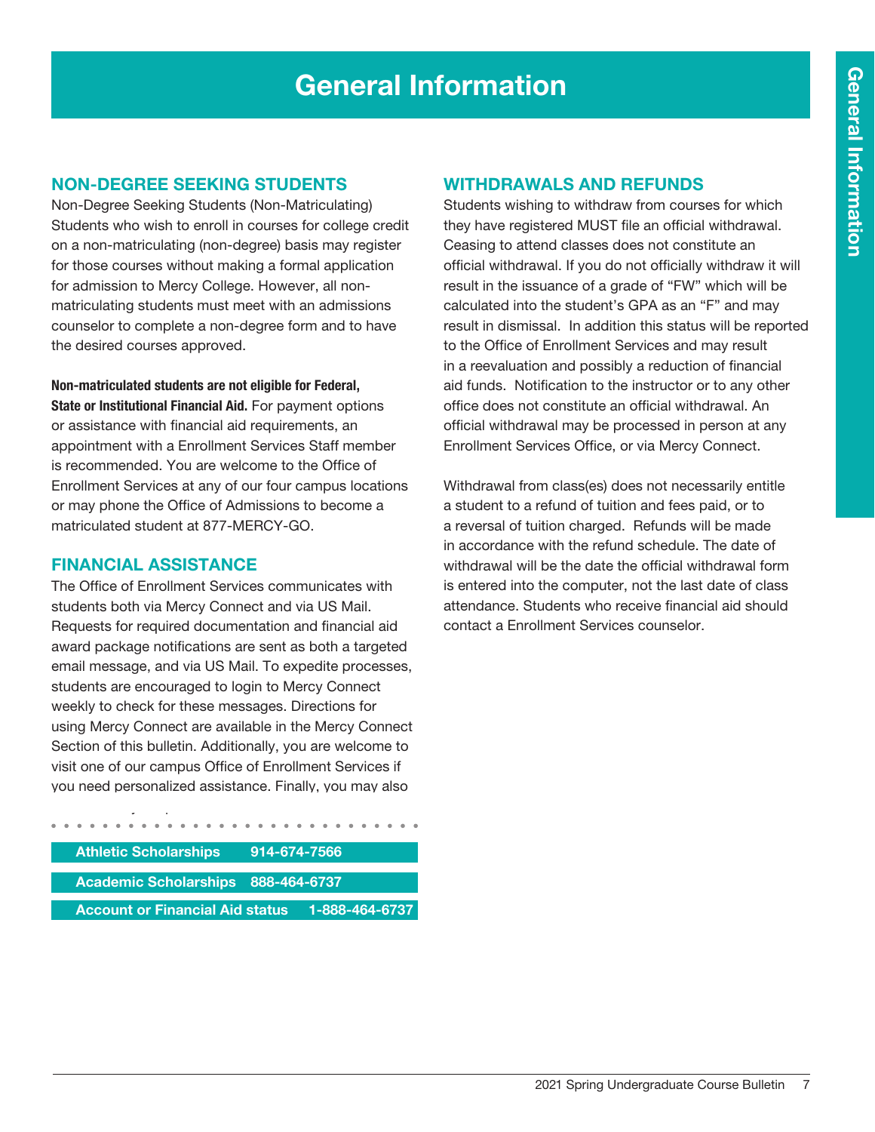# General Information

## Non-Degree Seeking Students

Non-Degree Seeking Students (Non-Matriculating) Students who wish to enroll in courses for college credit on a non-matriculating (non-degree) basis may register for those courses without making a formal application for admission to Mercy College. However, all nonmatriculating students must meet with an admissions counselor to complete a non-degree form and to have the desired courses approved.

Non-matriculated students are not eligible for Federal, State or Institutional Financial Aid. For payment options or assistance with financial aid requirements, an appointment with a Enrollment Services Staff member is recommended. You are welcome to the Office of Enrollment Services at any of our four campus locations or may phone the Office of Admissions to become a matriculated student at 877-MERCY-GO.

### Financial Assistance

The Office of Enrollment Services communicates with students both via Mercy Connect and via US Mail. Requests for required documentation and financial aid award package notifications are sent as both a targeted email message, and via US Mail. To expedite processes, students are encouraged to login to Mercy Connect weekly to check for these messages. Directions for using Mercy Connect are available in the Mercy Connect Section of this bulletin. Additionally, you are welcome to visit one of our campus Office of Enrollment Services if you need personalized assistance. Finally, you may also

| <b>Athletic Scholarships</b>              | 914-674-7566 |                |  |
|-------------------------------------------|--------------|----------------|--|
|                                           |              |                |  |
| <b>Academic Scholarships 888-464-6737</b> |              |                |  |
|                                           |              |                |  |
| <b>Account or Financial Aid status</b>    |              | 1-888-464-6737 |  |

### Withdrawals and Refunds

Students wishing to withdraw from courses for which they have registered MUST file an official withdrawal. Ceasing to attend classes does not constitute an official withdrawal. If you do not officially withdraw it will result in the issuance of a grade of "FW" which will be calculated into the student's GPA as an "F" and may result in dismissal. In addition this status will be reported to the Office of Enrollment Services and may result in a reevaluation and possibly a reduction of financial aid funds. Notification to the instructor or to any other office does not constitute an official withdrawal. An official withdrawal may be processed in person at any Enrollment Services Office, or via Mercy Connect.

Withdrawal from class(es) does not necessarily entitle a student to a refund of tuition and fees paid, or to a reversal of tuition charged. Refunds will be made in accordance with the refund schedule. The date of withdrawal will be the date the official withdrawal form is entered into the computer, not the last date of class attendance. Students who receive financial aid should contact a Enrollment Services counselor.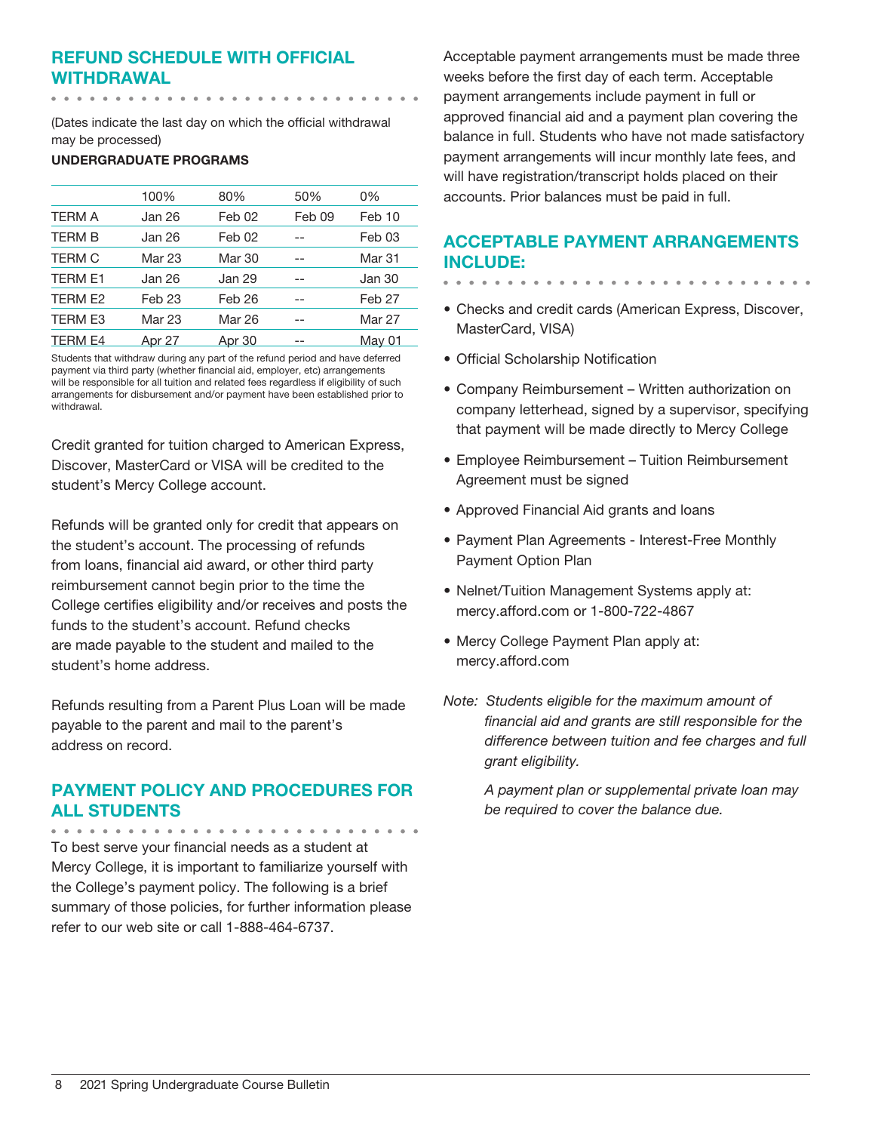## Refund Schedule with Official Withdrawal

(Dates indicate the last day on which the official withdrawal may be processed)

#### UNDERGRADUATE PROGRAMS

|                | 100%              | 80%               | 50%    | 0%                |
|----------------|-------------------|-------------------|--------|-------------------|
| <b>TERM A</b>  | Jan 26            | Feb 02            | Feb 09 | Feb 10            |
| <b>TERM B</b>  | Jan 26            | Feb 02            |        | Feb 03            |
| <b>TERM C</b>  | Mar 23            | Mar 30            |        | <b>Mar 31</b>     |
| <b>TERM E1</b> | Jan 26            | Jan 29            |        | Jan 30            |
| TERM E2        | Feb <sub>23</sub> | Feb <sub>26</sub> |        | Feb <sub>27</sub> |
| TERM E3        | Mar 23            | Mar 26            |        | <b>Mar 27</b>     |
| TERM E4        | Apr 27            | Apr 30            |        | May 01            |

Students that withdraw during any part of the refund period and have deferred payment via third party (whether financial aid, employer, etc) arrangements will be responsible for all tuition and related fees regardless if eligibility of such arrangements for disbursement and/or payment have been established prior to withdrawal.

Credit granted for tuition charged to American Express, Discover, MasterCard or VISA will be credited to the student's Mercy College account.

Refunds will be granted only for credit that appears on the student's account. The processing of refunds from loans, financial aid award, or other third party reimbursement cannot begin prior to the time the College certifies eligibility and/or receives and posts the funds to the student's account. Refund checks are made payable to the student and mailed to the student's home address.

Refunds resulting from a Parent Plus Loan will be made payable to the parent and mail to the parent's address on record.

## Payment Policy and Procedures for all Students

To best serve your financial needs as a student at Mercy College, it is important to familiarize yourself with the College's payment policy. The following is a brief summary of those policies, for further information please refer to our web site or call 1-888-464-6737.

Acceptable payment arrangements must be made three weeks before the first day of each term. Acceptable payment arrangements include payment in full or approved financial aid and a payment plan covering the balance in full. Students who have not made satisfactory payment arrangements will incur monthly late fees, and will have registration/transcript holds placed on their accounts. Prior balances must be paid in full.

## Acceptable Payment Arrangements include:

- 
- Checks and credit cards (American Express, Discover, MasterCard, VISA)
- Official Scholarship Notification
- Company Reimbursement Written authorization on company letterhead, signed by a supervisor, specifying that payment will be made directly to Mercy College
- Employee Reimbursement Tuition Reimbursement Agreement must be signed
- Approved Financial Aid grants and loans
- Payment Plan Agreements Interest-Free Monthly Payment Option Plan
- Nelnet/Tuition Management Systems apply at: mercy.afford.com or 1-800-722-4867
- Mercy College Payment Plan apply at: mercy.afford.com
- *Note: Students eligible for the maximum amount of financial aid and grants are still responsible for the difference between tuition and fee charges and full grant eligibility.*

*A payment plan or supplemental private loan may be required to cover the balance due.*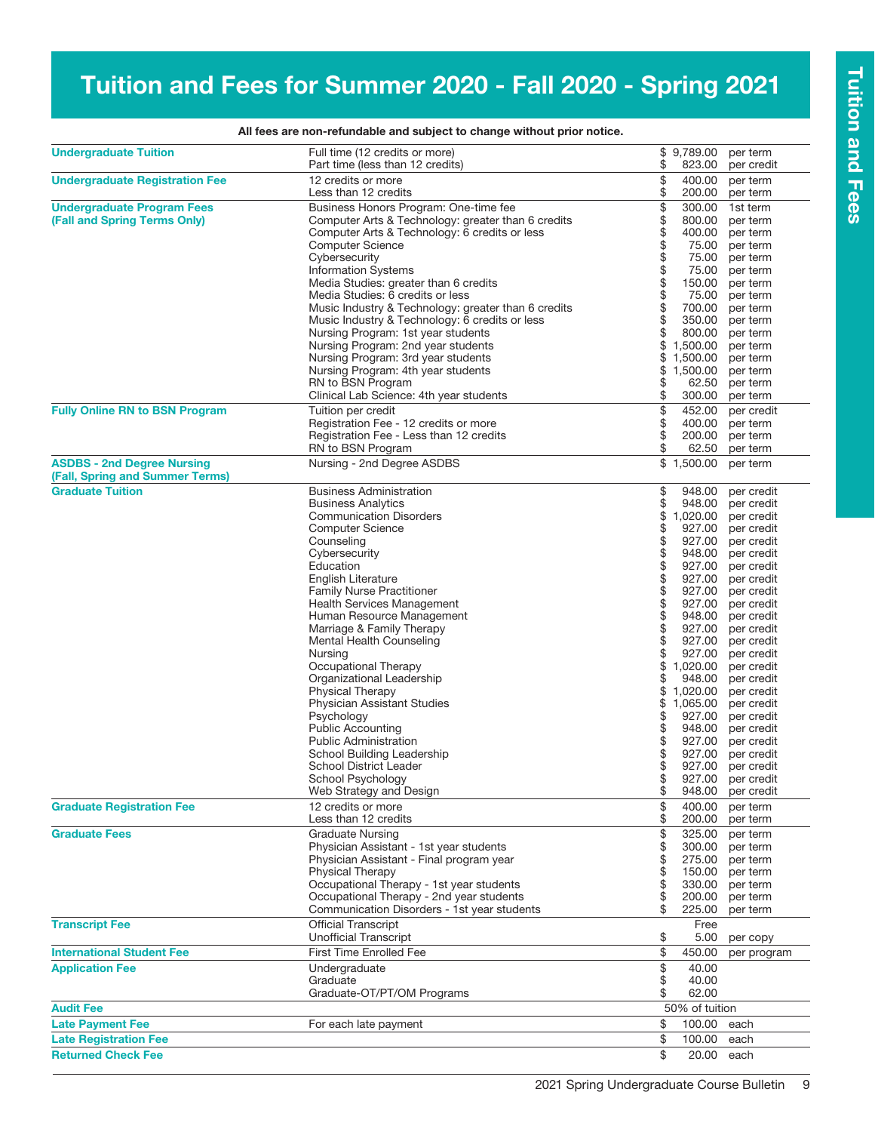# Tuition and Fees for Summer 2020 - Fall 2020 - Spring 2021

| <b>Undergraduate Tuition</b>                                         | Full time (12 credits or more)<br>Part time (less than 12 credits)  | \$         | \$9,789.00<br>823.00     | per term                 |
|----------------------------------------------------------------------|---------------------------------------------------------------------|------------|--------------------------|--------------------------|
| <b>Undergraduate Registration Fee</b>                                | 12 credits or more                                                  |            | 400.00                   | per credit<br>per term   |
|                                                                      | Less than 12 credits                                                | \$         | 200.00                   | per term                 |
| <b>Undergraduate Program Fees</b>                                    | Business Honors Program: One-time fee                               | \$         | 300.00                   | 1st term                 |
| (Fall and Spring Terms Only)                                         | Computer Arts & Technology: greater than 6 credits                  |            | 800.00                   | per term                 |
|                                                                      | Computer Arts & Technology: 6 credits or less                       | \$\$       | 400.00                   | per term                 |
|                                                                      | <b>Computer Science</b>                                             |            | 75.00                    | per term                 |
|                                                                      | Cybersecurity                                                       |            | 75.00                    | per term                 |
|                                                                      | <b>Information Systems</b>                                          | \$\$\$\$\$ | 75.00                    | per term                 |
|                                                                      | Media Studies: greater than 6 credits                               |            | 150.00                   | per term                 |
|                                                                      | Media Studies: 6 credits or less                                    |            | 75.00                    | per term                 |
|                                                                      | Music Industry & Technology: greater than 6 credits                 |            | 700.00                   | per term                 |
|                                                                      | Music Industry & Technology: 6 credits or less                      | \$         | 350.00                   | per term                 |
|                                                                      | Nursing Program: 1st year students                                  | \$         | 800.00                   | per term                 |
|                                                                      | Nursing Program: 2nd year students                                  | \$         | 1,500.00                 | per term                 |
|                                                                      | Nursing Program: 3rd year students                                  | \$         | 1,500.00                 | per term                 |
|                                                                      | Nursing Program: 4th year students                                  | \$         | 1,500.00                 | per term                 |
|                                                                      | RN to BSN Program                                                   | \$         | 62.50                    | per term                 |
|                                                                      | Clinical Lab Science: 4th year students                             | \$         | 300.00                   | per term                 |
| <b>Fully Online RN to BSN Program</b>                                | Tuition per credit                                                  | \$         | 452.00                   | per credit               |
|                                                                      | Registration Fee - 12 credits or more                               |            | 400.00                   | per term                 |
|                                                                      | Registration Fee - Less than 12 credits                             | \$         | 200.00                   | per term                 |
|                                                                      | RN to BSN Program                                                   | \$         | 62.50                    | per term                 |
| <b>ASDBS - 2nd Degree Nursing</b><br>(Fall, Spring and Summer Terms) | Nursing - 2nd Degree ASDBS                                          |            | $\overline{\$}$ 1,500.00 | per term                 |
| <b>Graduate Tuition</b>                                              | <b>Business Administration</b>                                      | \$         | 948.00                   | per credit               |
|                                                                      | <b>Business Analytics</b>                                           | \$         | 948.00                   | per credit               |
|                                                                      | <b>Communication Disorders</b>                                      | \$         | 1,020.00                 | per credit               |
|                                                                      | <b>Computer Science</b>                                             | \$         | 927.00                   | per credit               |
|                                                                      | Counseling                                                          | \$         | 927.00                   | per credit               |
|                                                                      | Cybersecurity                                                       |            | 948.00                   | per credit               |
|                                                                      | Education                                                           |            | 927.00                   | per credit               |
|                                                                      | English Literature                                                  | 88888      | 927.00                   | per credit               |
|                                                                      | <b>Family Nurse Practitioner</b>                                    |            | 927.00                   | per credit               |
|                                                                      | <b>Health Services Management</b>                                   |            | 927.00                   | per credit               |
|                                                                      | Human Resource Management                                           |            | 948.00                   | per credit               |
|                                                                      | Marriage & Family Therapy                                           |            | 927.00                   | per credit               |
|                                                                      | Mental Health Counseling                                            | \$         | 927.00                   | per credit               |
|                                                                      | Nursing                                                             | \$<br>\$   | 927.00                   | per credit               |
|                                                                      | Occupational Therapy<br>Organizational Leadership                   | \$         | 1,020.00<br>948.00       | per credit<br>per credit |
|                                                                      | <b>Physical Therapy</b>                                             | \$         | 1,020.00                 | per credit               |
|                                                                      | Physician Assistant Studies                                         | \$         | 1,065.00                 | per credit               |
|                                                                      | Psychology                                                          | \$         | 927.00                   | per credit               |
|                                                                      | <b>Public Accounting</b>                                            |            | 948.00                   | per credit               |
|                                                                      | <b>Public Administration</b>                                        | \$         | 927.00                   | per credit               |
|                                                                      | School Building Leadership                                          | \$         | 927.00                   | per credit               |
|                                                                      | <b>School District Leader</b>                                       | \$         |                          | 927.00 per credit        |
|                                                                      | School Psychology                                                   | \$         |                          | 927.00 per credit        |
|                                                                      | Web Strategy and Design                                             | \$         | 948.00                   | per credit               |
| <b>Graduate Registration Fee</b>                                     | 12 credits or more                                                  | \$         | 400.00                   | per term                 |
|                                                                      | Less than 12 credits                                                | \$         | 200.00                   | per term                 |
| <b>Graduate Fees</b>                                                 | <b>Graduate Nursing</b><br>Physician Assistant - 1st year students  | \$<br>\$   | 325.00                   | per term                 |
|                                                                      |                                                                     |            | 300.00                   | per term                 |
|                                                                      | Physician Assistant - Final program year<br><b>Physical Therapy</b> | \$<br>\$   | 275.00<br>150.00         | per term<br>per term     |
|                                                                      | Occupational Therapy - 1st year students                            | \$         | 330.00                   | per term                 |
|                                                                      | Occupational Therapy - 2nd year students                            | \$         | 200.00                   | per term                 |
|                                                                      | Communication Disorders - 1st year students                         | \$         | 225.00                   | per term                 |
| <b>Transcript Fee</b>                                                | <b>Official Transcript</b>                                          |            | Free                     |                          |
|                                                                      | <b>Unofficial Transcript</b>                                        | \$         | 5.00                     | per copy                 |
| <b>International Student Fee</b>                                     | <b>First Time Enrolled Fee</b>                                      | \$         | 450.00                   | per program              |
| <b>Application Fee</b>                                               | Undergraduate                                                       | \$         | 40.00                    |                          |
|                                                                      | Graduate                                                            | \$         | 40.00                    |                          |
|                                                                      | Graduate-OT/PT/OM Programs                                          | \$         | 62.00                    |                          |
| <b>Audit Fee</b>                                                     |                                                                     |            | 50% of tuition           |                          |
| <b>Late Payment Fee</b>                                              | For each late payment                                               | \$         | 100.00                   | each                     |
| <b>Late Registration Fee</b>                                         |                                                                     | \$         | 100.00                   | each                     |
| <b>Returned Check Fee</b>                                            |                                                                     | \$         | 20.00                    | each                     |
|                                                                      |                                                                     |            |                          |                          |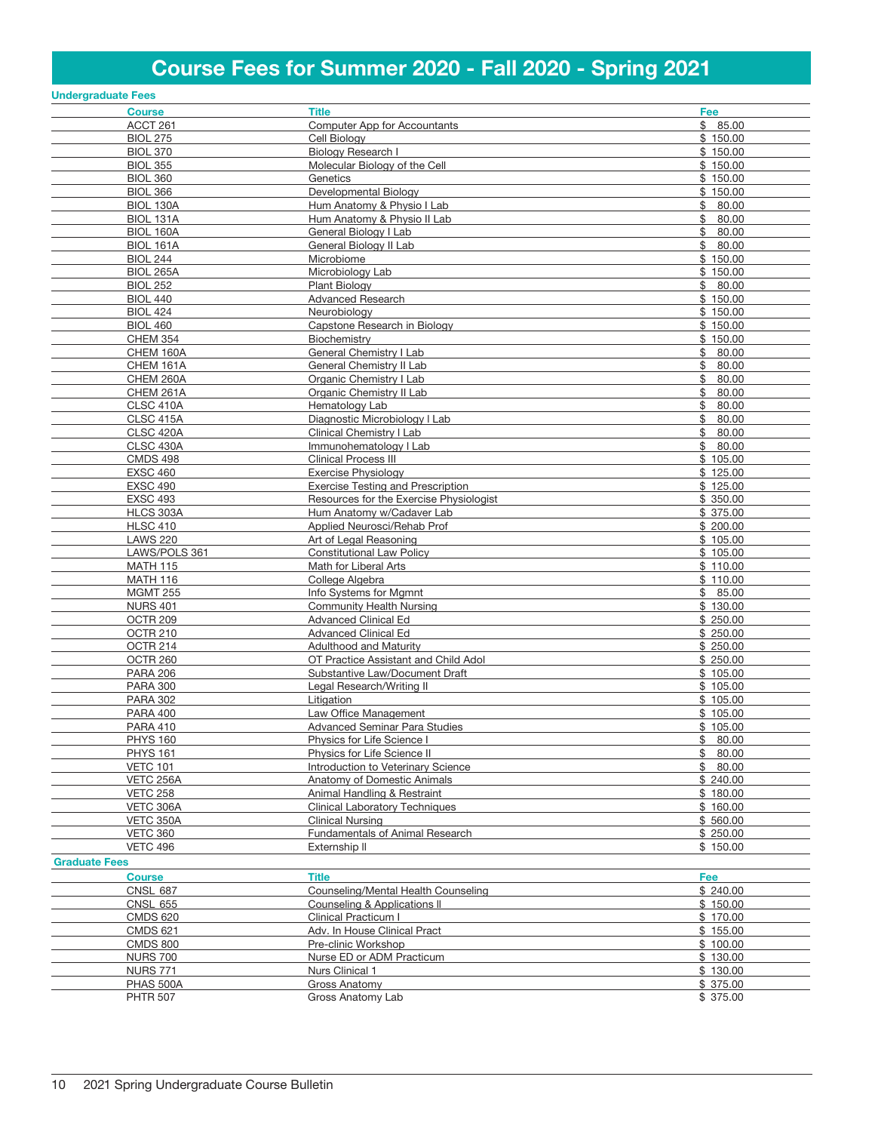# Course Fees for Summer 2020 - Fall 2020 - Spring 2021

|                      | <b>Undergraduate Fees</b> |                                          |             |
|----------------------|---------------------------|------------------------------------------|-------------|
|                      | <b>Course</b>             | <b>Title</b>                             | Fee         |
|                      | ACCT 261                  | <b>Computer App for Accountants</b>      | \$85.00     |
|                      | <b>BIOL 275</b>           | Cell Biology                             | \$150.00    |
|                      | <b>BIOL 370</b>           | <b>Biology Research I</b>                | \$150.00    |
|                      | <b>BIOL 355</b>           | Molecular Biology of the Cell            | \$150.00    |
|                      | <b>BIOL 360</b>           | Genetics                                 | \$150.00    |
|                      | <b>BIOL 366</b>           | Developmental Biology                    | \$150.00    |
|                      | BIOL 130A                 | Hum Anatomy & Physio I Lab               | \$80.00     |
|                      |                           |                                          |             |
|                      | BIOL 131A                 | Hum Anatomy & Physio II Lab              | \$<br>80.00 |
|                      | <b>BIOL 160A</b>          | General Biology I Lab                    | \$<br>80.00 |
|                      | <b>BIOL 161A</b>          | General Biology II Lab                   | \$<br>80.00 |
|                      | <b>BIOL 244</b>           | Microbiome                               | \$150.00    |
|                      | <b>BIOL 265A</b>          | Microbiology Lab                         | \$150.00    |
|                      | <b>BIOL 252</b>           | Plant Biology                            | \$80.00     |
|                      | <b>BIOL 440</b>           | <b>Advanced Research</b>                 | \$150.00    |
|                      | <b>BIOL 424</b>           | Neurobiology                             | \$150.00    |
|                      | <b>BIOL 460</b>           | Capstone Research in Biology             | \$150.00    |
|                      | <b>CHEM 354</b>           | Biochemistry                             | \$150.00    |
|                      | CHEM 160A                 | General Chemistry I Lab                  | \$80.00     |
|                      | CHEM 161A                 | General Chemistry II Lab                 | 80.00<br>\$ |
|                      | CHEM 260A                 | Organic Chemistry I Lab                  | \$<br>80.00 |
|                      | CHEM 261A                 | Organic Chemistry II Lab                 | \$<br>80.00 |
|                      | CLSC 410A                 | Hematology Lab                           | \$<br>80.00 |
|                      | CLSC 415A                 | Diagnostic Microbiology I Lab            | \$<br>80.00 |
|                      | CLSC 420A                 | Clinical Chemistry I Lab                 | \$<br>80.00 |
|                      | <b>CLSC 430A</b>          | Immunohematology   Lab                   | \$<br>80.00 |
|                      | <b>CMDS 498</b>           | <b>Clinical Process III</b>              | \$105.00    |
|                      | <b>EXSC 460</b>           | <b>Exercise Physiology</b>               |             |
|                      |                           |                                          | \$125.00    |
|                      | <b>EXSC 490</b>           | <b>Exercise Testing and Prescription</b> | \$125.00    |
|                      | <b>EXSC 493</b>           | Resources for the Exercise Physiologist  | \$350.00    |
|                      | HLCS 303A                 | Hum Anatomy w/Cadaver Lab                | \$375.00    |
|                      | <b>HLSC 410</b>           | Applied Neurosci/Rehab Prof              | \$200.00    |
|                      | <b>LAWS 220</b>           | Art of Legal Reasoning                   | \$105.00    |
|                      | LAWS/POLS 361             | <b>Constitutional Law Policy</b>         | \$105.00    |
|                      | <b>MATH 115</b>           | Math for Liberal Arts                    | \$110.00    |
|                      | <b>MATH 116</b>           | College Algebra                          | \$110.00    |
|                      | <b>MGMT 255</b>           | Info Systems for Mgmnt                   | \$85.00     |
|                      | <b>NURS 401</b>           | Community Health Nursing                 | \$130.00    |
|                      | OCTR <sub>209</sub>       | <b>Advanced Clinical Ed</b>              | \$250.00    |
|                      | <b>OCTR 210</b>           | <b>Advanced Clinical Ed</b>              | \$250.00    |
|                      | OCTR 214                  | <b>Adulthood and Maturity</b>            | \$250.00    |
|                      | OCTR 260                  | OT Practice Assistant and Child Adol     | \$250.00    |
|                      | <b>PARA 206</b>           | Substantive Law/Document Draft           | \$105.00    |
|                      | <b>PARA 300</b>           | Legal Research/Writing II                | \$105.00    |
|                      | <b>PARA 302</b>           | Litigation                               | \$105.00    |
|                      | <b>PARA 400</b>           | Law Office Management                    | \$105.00    |
|                      | <b>PARA 410</b>           | <b>Advanced Seminar Para Studies</b>     | \$105.00    |
|                      | <b>PHYS 160</b>           | Physics for Life Science I               | \$80.00     |
|                      | <b>PHYS 161</b>           | Physics for Life Science II              | \$<br>80.00 |
|                      | <b>VETC 101</b>           | Introduction to Veterinary Science       | \$80.00     |
|                      |                           |                                          |             |
|                      | VETC 256A                 | Anatomy of Domestic Animals              | \$240.00    |
|                      | <b>VETC 258</b>           | Animal Handling & Restraint              | \$180.00    |
|                      | VETC 306A                 | <b>Clinical Laboratory Techniques</b>    | \$160.00    |
|                      | VETC 350A                 | <b>Clinical Nursing</b>                  | \$560.00    |
|                      | <b>VETC 360</b>           | Fundamentals of Animal Research          | \$250.00    |
|                      | <b>VETC 496</b>           | Externship II                            | \$150.00    |
| <b>Graduate Fees</b> |                           |                                          |             |
|                      | <b>Course</b>             | <b>Title</b>                             | Fee         |
|                      | <b>CNSL 687</b>           | Counseling/Mental Health Counseling      | \$240.00    |
|                      | <b>CNSL 655</b>           | Counseling & Applications II             | \$150.00    |
|                      | <b>CMDS 620</b>           | Clinical Practicum I                     | \$170.00    |
|                      | <b>CMDS 621</b>           | Adv. In House Clinical Pract             | \$155.00    |
|                      | <b>CMDS 800</b>           | Pre-clinic Workshop                      | \$100.00    |
|                      | <b>NURS 700</b>           | Nurse ED or ADM Practicum                | \$130.00    |
|                      |                           | Nurs Clinical 1                          | \$130.00    |
|                      | <b>NURS 771</b>           |                                          |             |
|                      | PHAS 500A                 | Gross Anatomy                            | \$375.00    |
|                      | <b>PHTR 507</b>           | Gross Anatomy Lab                        | \$ 375.00   |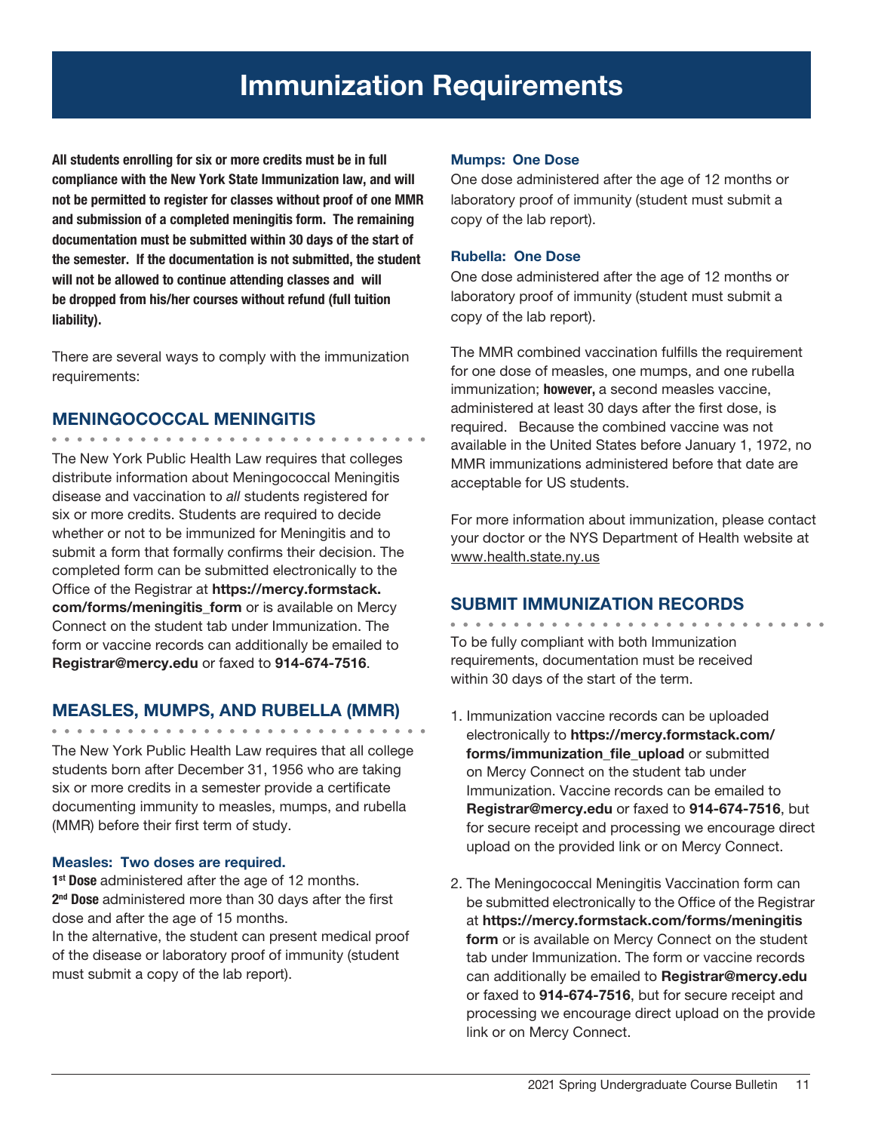# Immunization Requirements

All students enrolling for six or more credits must be in full compliance with the New York State Immunization law, and will not be permitted to register for classes without proof of one MMR and submission of a completed meningitis form. The remaining documentation must be submitted within 30 days of the start of the semester. If the documentation is not submitted, the student will not be allowed to continue attending classes and will be dropped from his/her courses without refund (full tuition liability).

There are several ways to comply with the immunization requirements:

#### MENINGOCOCCAL MENINGITIS

The New York Public Health Law requires that colleges distribute information about Meningococcal Meningitis disease and vaccination to *all* students registered for six or more credits. Students are required to decide whether or not to be immunized for Meningitis and to submit a form that formally confirms their decision. The completed form can be submitted electronically to the Office of the Registrar at https://mercy.formstack. com/forms/meningitis form or is available on Mercy Connect on the student tab under Immunization. The form or vaccine records can additionally be emailed to Registrar@mercy.edu or faxed to 914-674-7516.

### MEASLES, MUMPS, AND RUBELLA (MMR)

The New York Public Health Law requires that all college students born after December 31, 1956 who are taking six or more credits in a semester provide a certificate documenting immunity to measles, mumps, and rubella (MMR) before their first term of study.

#### Measles: Two doses are required.

1<sup>st</sup> Dose administered after the age of 12 months. 2<sup>nd</sup> Dose administered more than 30 days after the first dose and after the age of 15 months.

In the alternative, the student can present medical proof of the disease or laboratory proof of immunity (student must submit a copy of the lab report).

#### Mumps: One Dose

One dose administered after the age of 12 months or laboratory proof of immunity (student must submit a copy of the lab report).

#### Rubella: One Dose

One dose administered after the age of 12 months or laboratory proof of immunity (student must submit a copy of the lab report).

The MMR combined vaccination fulfills the requirement for one dose of measles, one mumps, and one rubella immunization; however, a second measles vaccine, administered at least 30 days after the first dose, is required. Because the combined vaccine was not available in the United States before January 1, 1972, no MMR immunizations administered before that date are acceptable for US students.

For more information about immunization, please contact your doctor or the NYS Department of Health website at www.health.state.ny.us

### SUBMIT IMMUNIZATION RECORDS

To be fully compliant with both Immunization requirements, documentation must be received within 30 days of the start of the term.

- 1. Immunization vaccine records can be uploaded electronically to https://mercy.formstack.com/ forms/immunization\_file\_upload or submitted on Mercy Connect on the student tab under Immunization. Vaccine records can be emailed to Registrar@mercy.edu or faxed to 914-674-7516, but for secure receipt and processing we encourage direct upload on the provided link or on Mercy Connect.
- 2. The Meningococcal Meningitis Vaccination form can be submitted electronically to the Office of the Registrar at https://mercy.formstack.com/forms/meningitis form or is available on Mercy Connect on the student tab under Immunization. The form or vaccine records can additionally be emailed to Registrar@mercy.edu or faxed to 914-674-7516, but for secure receipt and processing we encourage direct upload on the provide link or on Mercy Connect.